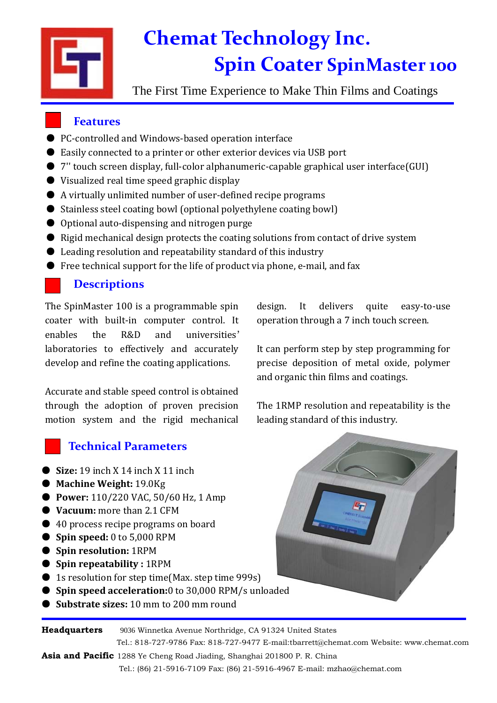

# **Chemat Technology Inc. Spin Coater SpinMaster 100**

The First Time Experience to Make Thin Films and Coatings

## **Features**

- PC-controlled and Windows-based operation interface
- Easily connected to a printer or other exterior devices via USB port
- 7" touch screen display, full-color alphanumeric-capable graphical user interface(GUI)
- Visualized real time speed graphic display
- A virtually unlimited number of user-defined recipe programs
- Stainless steel coating bowl (optional polyethylene coating bowl)
- Optional auto-dispensing and nitrogen purge
- Rigid mechanical design protects the coating solutions from contact of drive system
- Leading resolution and repeatability standard of this industry
- Free technical support for the life of product via phone, e-mail, and fax

## **Descriptions**

The SpinMaster 100 is a programmable spin coater with built-in computer control. It enables the R&D and universities' laboratories to effectively and accurately develop and refine the coating applications.

Accurate and stable speed control is obtained through the adoption of proven precision motion system and the rigid mechanical

## **Technical Parameters**

- **Size:** 19 inch X 14 inch X 11 inch
- **Machine Weight:** 19.0Kg
- **Power:** 110/220 VAC, 50/60 Hz, 1 Amp
- **Vacuum:** more than 2.1 CFM
- 40 process recipe programs on board
- **Spin speed:** 0 to 5,000 RPM
- **Spin resolution:** 1RPM
- **Spin repeatability :** 1RPM
- 1s resolution for step time(Max. step time 999s)
- **Spin speed acceleration:**0 to 30,000 RPM/s unloaded
- **Substrate sizes:** 10 mm to 200 mm round

**Headquarters** 9036 Winnetka Avenue Northridge, CA 91324 United States

design. It delivers quite easy-to-use operation through a 7 inch touch screen.

It can perform step by step programming for precise deposition of metal oxide, polymer and organic thin films and coatings.

The 1RMP resolution and repeatability is the leading standard of this industry.



Tel.: 818-727-9786 Fax: 818-727-9477 E-mail:tbarrett@chemat.com Website: www.chemat.com **Asia and Pacific** 1288 Ye Cheng Road Jiading, Shanghai 201800 P. R. China

Tel.: (86) 21-5916-7109 Fax: (86) 21-5916-4967 E-mail: mzhao@chemat.com